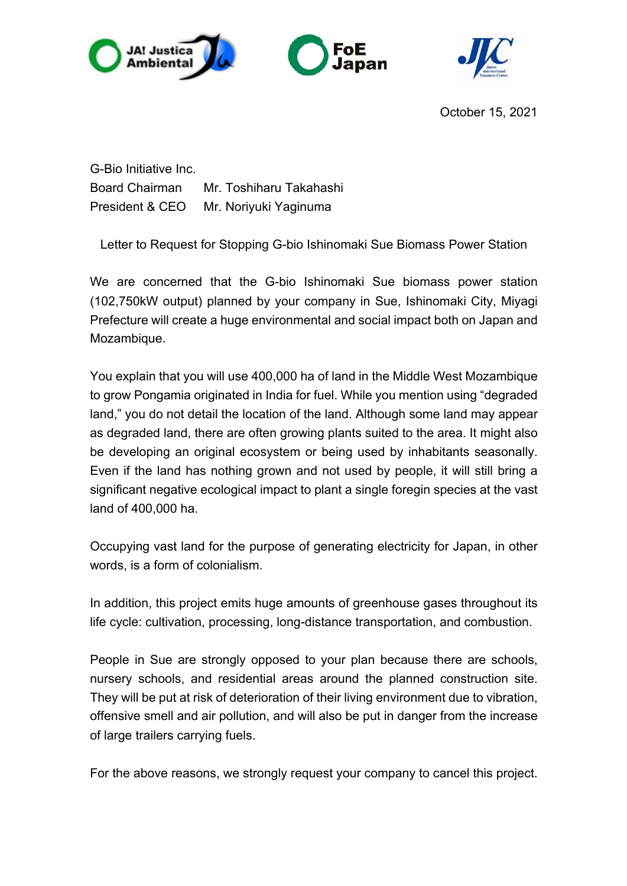



October 15, 2021

G-Bio Initiative Inc. Board Chairman Mr. Toshiharu Takahashi President & CEO Mr. Noriyuki Yaginuma

Letter to Request for Stopping G-bio Ishinomaki Sue Biomass Power Station

We are concerned that the G-bio Ishinomaki Sue biomass power station (102,750kW output) planned by your company in Sue, Ishinomaki City, Miyagi Prefecture will create a huge environmental and social impact both on Japan and Mozambique.

You explain that you will use 400,000 ha of land in the Middle West Mozambique to grow Pongamia originated in India for fuel. While you mention using "degraded land," you do not detail the location of the land. Although some land may appear as degraded land, there are often growing plants suited to the area. It might also be developing an original ecosystem or being used by inhabitants seasonally. Even if the land has nothing grown and not used by people, it will still bring a significant negative ecological impact to plant a single foregin species at the vast land of 400,000 ha.

Occupying vast land for the purpose of generating electricity for Japan, in other words, is a form of colonialism.

In addition, this project emits huge amounts of greenhouse gases throughout its life cycle: cultivation, processing, long-distance transportation, and combustion.

People in Sue are strongly opposed to your plan because there are schools, nursery schools, and residential areas around the planned construction site. They will be put at risk of deterioration of their living environment due to vibration, offensive smell and air pollution, and will also be put in danger from the increase of large trailers carrying fuels.

For the above reasons, we strongly request your company to cancel this project.